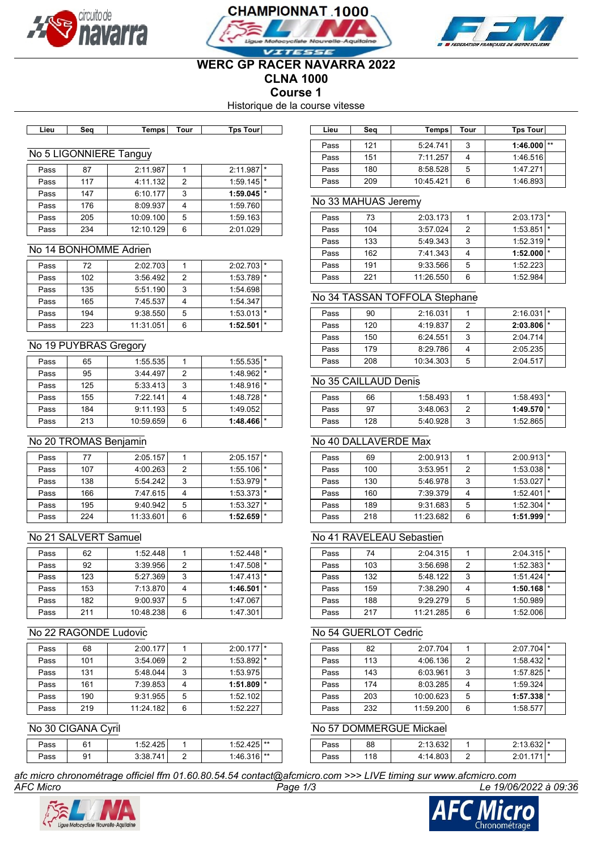





# **WERC GP RACER NAVARRA 2022 CLNA 1000**

**Course 1**

Historique de la course vitesse

| Temps I<br>Tour<br>∟ieu<br>sea | Tɒs Tourl |  |
|--------------------------------|-----------|--|

#### No 5 LIGONNIERE Tanguy

| Pass | 87  | 2:11.987  |   | 2:11.987                |  |
|------|-----|-----------|---|-------------------------|--|
| Pass | 117 | 4:11.132  | 2 | $1:59.145$ <sup>*</sup> |  |
| Pass | 147 | 6:10.177  | 3 | $1:59.045$ <sup>*</sup> |  |
| Pass | 176 | 8:09.937  |   | 1:59.760                |  |
| Pass | 205 | 10:09.100 | 5 | 1:59.163                |  |
| Pass | 234 | 12:10.129 | 6 | 2:01.029                |  |

### No 14 BONHOMME Adrien

| Pass | 72  | 2:02.703  |   | 2:02.703                |  |
|------|-----|-----------|---|-------------------------|--|
| Pass | 102 | 3:56.492  | っ | 1:53.789                |  |
| Pass | 135 | 5:51.190  | 3 | 1:54.698                |  |
| Pass | 165 | 7:45.537  |   | 1:54.347                |  |
| Pass | 194 | 9:38.550  | 5 | $1:53.013$ *            |  |
| Pass | 223 | 11:31.051 | 6 | $1:52.501$ <sup>*</sup> |  |

#### No 19 PUYBRAS Gregory

| Pass | 65  | 1:55.535  |   | $1:55.535$  *           |  |
|------|-----|-----------|---|-------------------------|--|
| Pass | 95  | 3:44.497  | 2 | $1:48.962$ <sup>*</sup> |  |
| Pass | 125 | 5:33.413  | 3 | $1:48.916$ <sup>*</sup> |  |
| Pass | 155 | 7:22.141  |   | $1:48.728$ <sup>*</sup> |  |
| Pass | 184 | 9:11.193  | 5 | 1:49.052                |  |
| Pass | 213 | 10:59.659 | 6 | $1:48.466$ $*$          |  |

# No 20 TROMAS Benjamin

| Pass | 77  | 2:05.157  |   | $2:05.157$ $*$          |  |
|------|-----|-----------|---|-------------------------|--|
| Pass | 107 | 4:00.263  | 2 | $1:55.106$ $\uparrow$   |  |
| Pass | 138 | 5:54.242  | 3 | $1:53.979$ <sup>*</sup> |  |
| Pass | 166 | 7:47.615  |   | $1:53.373$ $*$          |  |
| Pass | 195 | 9:40.942  | 5 | 1:53.327                |  |
| Pass | 224 | 11:33.601 | 6 | 1:52.659                |  |

# No 21 SALVERT Samuel

| Pass | 62  | 1:52.448  |   | $1:52.448$ $*$ |  |
|------|-----|-----------|---|----------------|--|
| Pass | 92  | 3:39.956  | 2 | $1:47.508$  *  |  |
| Pass | 123 | 5:27.369  | 3 | 1:47.413       |  |
| Pass | 153 | 7:13.870  |   | $1:46.501$ $*$ |  |
| Pass | 182 | 9:00.937  | 5 | 1:47.067       |  |
| Pass | 211 | 10:48.238 | 6 | 1:47.301       |  |

### No 22 RAGONDE Ludovic

| Pass | 68  | 2:00.177  |   | $2:00.177$  * |                |
|------|-----|-----------|---|---------------|----------------|
| Pass | 101 | 3:54.069  | 2 | 1:53.892      | $\mathbf{1}$ * |
| Pass | 131 | 5:48.044  | 3 | 1:53.975      |                |
| Pass | 161 | 7:39.853  |   | 1:51.809      |                |
| Pass | 190 | 9:31.955  | 5 | 1:52.102      |                |
| Pass | 219 | 11:24.182 | 6 | 1:52.227      |                |

### No 30 CIGANA Cyril

| ⊃ass | 61<br>ັັ | つら<br>.55<br>ل42.4 ـ من |   | 105 **<br>$-5o$ |  |
|------|----------|-------------------------|---|-----------------|--|
| ⊃ass | 91       | ס כ                     | - | 1.46316         |  |

*afc micro chronométrage officiel ffm 01.60.80.54.54 contact@afcmicro.com >>> LIVE timing sur www.afcmicro.com*



# **Lieu Seq Temps Tour Tps Tour Lieu Seq Temps Tour Tps Tour** Pass 121 5:24.741 3 1:46.000 \*\* Pass 151 7:11.257 4 1:46.516 Pass 180 8:58.528 5 1:47.271 Pass 209 10:45.421 6 1:46.893

#### No 33 MAHUAS Jeremy

| Pass | 73  | 2:03.173  |   | $2:03.173$ *            |  |
|------|-----|-----------|---|-------------------------|--|
| Pass | 104 | 3:57.024  | 2 | $1:53.851$ *            |  |
| Pass | 133 | 5:49.343  | 3 | $1:52.319$ <sup>*</sup> |  |
| Pass | 162 | 7:41.343  |   | $1:52.000$ $\vert$ *    |  |
| Pass | 191 | 9:33.566  | 5 | 1:52.223                |  |
| Pass | 221 | 11:26.550 | 6 | 1:52.984                |  |

### No 34 TASSAN TOFFOLA Stephane

| Pass | 90  | 2:16.031  |   | 2:16.031                | l * |
|------|-----|-----------|---|-------------------------|-----|
| Pass | 120 | 4:19.837  | 2 | $2:03.806$ <sup>*</sup> |     |
| Pass | 150 | 6:24.551  | 3 | 2:04.714                |     |
| Pass | 179 | 8:29.786  |   | 2:05.235                |     |
| Pass | 208 | 10:34.303 | 5 | 2:04.517                |     |

# No 35 CAILLAUD Denis

| Pass | 66  | 1:58.4931 |   | $1:58.493$ *   |  |
|------|-----|-----------|---|----------------|--|
| Pass | 97  | 3:48.063  |   | $1:49.570$ $*$ |  |
| Pass | 128 | 5:40.928  | J | 1:52.865       |  |

# No 40 DALLAVERDE Max

| Pass | 69  | 2:00.913  |   | $2:00.913$ <sup>*</sup> |         |
|------|-----|-----------|---|-------------------------|---------|
| Pass | 100 | 3:53.951  | 2 | 1:53.038                |         |
| Pass | 130 | 5:46.978  | 3 | $1:53.027$ *            |         |
| Pass | 160 | 7:39.379  |   | 1:52.401                |         |
| Pass | 189 | 9:31.683  | 5 | 1:52.304                | $\star$ |
| Pass | 218 | 11:23.682 | 6 | 1:51.999                | $\star$ |

## No 41 RAVELEAU Sebastien

| Pass | 74  | 2:04.315  |   | 2:04.315 | $\star$ |
|------|-----|-----------|---|----------|---------|
|      |     |           |   |          |         |
| Pass | 103 | 3:56.698  | 2 | 1:52.383 |         |
| Pass | 132 | 5:48.1221 | 3 | 1:51.424 | $\star$ |
| Pass | 159 | 7:38.290  |   | 1:50.168 | $\star$ |
| Pass | 188 | 9:29.279  | 5 | 1:50.989 |         |
| Pass | 217 | 11:21.285 | 6 | 1:52.006 |         |

### No 54 GUERLOT Cedric

| Pass | 82  | 2:07.704  |   | 2:07.704                |  |
|------|-----|-----------|---|-------------------------|--|
| Pass | 113 | 4:06.136  | 2 | $1:58.432$ *            |  |
| Pass | 143 | 6:03.961  | 3 | $1:57.825$ <sup>*</sup> |  |
| Pass | 174 | 8:03.285  |   | 1:59.324                |  |
| Pass | 203 | 10:00.623 | 5 | $1:57.338$ $\vert$ *    |  |
| Pass | 232 | 11:59.200 | 6 | 1:58.577                |  |

### No 57 DOMMERGUE Mickael

| ⊃ass | 88 | 0.12620<br>۷. | $2:13.632$ * |  |
|------|----|---------------|--------------|--|
| ⊃ass | 18 | 4.14<br>4.00J | $741$ *      |  |



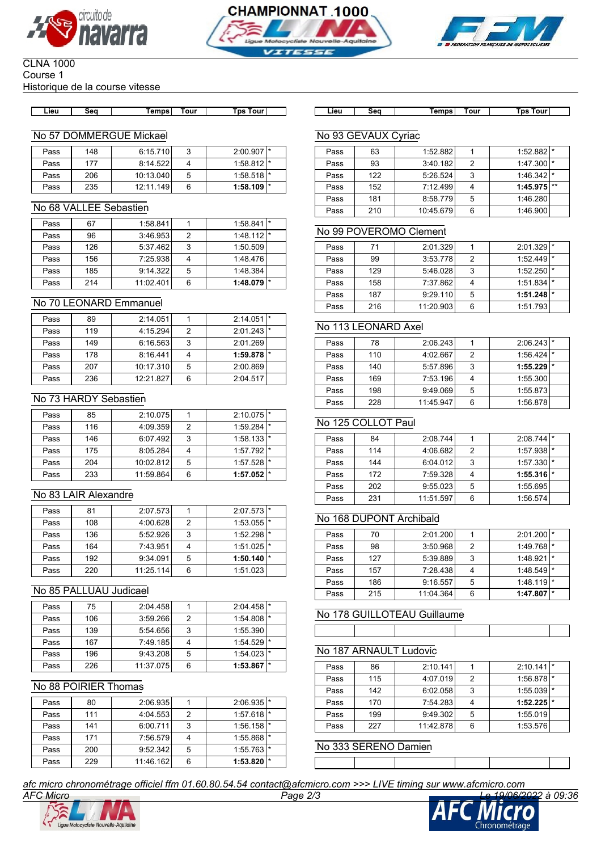





#### CLNA 1000 Course 1 Historique de la course vitesse

| Lieu | Sea | Temps⊺ | Tour | Tps Tourl |  |
|------|-----|--------|------|-----------|--|

### No 57 DOMMERGUE Mickael

| Pass | 148 | 6:15.710  | 2 | $2:00.907$ <sup>*</sup> |  |
|------|-----|-----------|---|-------------------------|--|
| Pass | 177 | 8:14.522  |   | $1:58.812$ *            |  |
| Pass | 206 | 10:13.040 | 5 | 1:58.518                |  |
| Pass | 235 | 12:11.149 | 6 | $1:58.109$ <sup>*</sup> |  |

### No 68 VALLEE Sebastien

| Pass | 67  | 1:58.841  |   | 1:58.841                | $\vert$ * |
|------|-----|-----------|---|-------------------------|-----------|
| Pass | 96  | 3:46.953  | 2 | $1:48.112$ *            |           |
| Pass | 126 | 5:37.4621 | 3 | 1:50.509                |           |
| Pass | 156 | 7:25.938  |   | 1:48.476                |           |
| Pass | 185 | 9:14.322  | 5 | 1:48.384                |           |
| Pass | 214 | 11:02.401 | 6 | $1:48.079$ <sup>*</sup> |           |

### No 70 LEONARD Emmanuel

| Pass | 89  | 2:14.051  |   | 2:14.051                | $\mathbf{L}$ |
|------|-----|-----------|---|-------------------------|--------------|
| Pass | 119 | 4:15.294  | 2 | $2:01.243$ <sup>*</sup> |              |
| Pass | 149 | 6:16.563  | 3 | 2:01.269                |              |
| Pass | 178 | 8:16.441  |   | $1:59.878$ $*$          |              |
| Pass | 207 | 10:17.310 | 5 | 2:00.869                |              |
| Pass | 236 | 12:21.827 | 6 | 2:04.517                |              |

### No 73 HARDY Sebastien

| Pass | 85  | 2:10.075  |   | $2:10.075$ <sup>*</sup> |     |
|------|-----|-----------|---|-------------------------|-----|
| Pass | 116 | 4:09.359  | 2 | 1:59.284                |     |
| Pass | 146 | 6:07.492  | 3 | $1:58.133$ *            |     |
| Pass | 175 | 8:05.284  |   | 1:57.792                | l * |
| Pass | 204 | 10:02.812 | 5 | $1:57.528$ *            |     |
| Pass | 233 | 11:59.864 | 6 | $1:57.052$ $*$          |     |

## No 83 LAIR Alexandre

| Pass | 81  | 2:07.573  |   | $2:07.573$ *            |  |
|------|-----|-----------|---|-------------------------|--|
| Pass | 108 | 4:00.628  | 2 | $1:53.055$  *           |  |
| Pass | 136 | 5:52.926  | 3 | $1:52.298$  *           |  |
| Pass | 164 | 7:43.951  |   | $1:51.025$ <sup>*</sup> |  |
| Pass | 192 | 9:34.091  | 5 | 1:50.140                |  |
| Pass | 220 | 11:25.114 | 6 | 1:51.023                |  |

### No 85 PALLUAU Judicael

| Pass | 75  | 2:04.458  |   | $2:04.458$ *            |     |
|------|-----|-----------|---|-------------------------|-----|
| Pass | 106 | 3:59.266  | 2 | $1:54.808$ *            |     |
| Pass | 139 | 5:54.656  | 3 | 1:55.390                |     |
| Pass | 167 | 7:49.185  |   | $1:54.529$ <sup>*</sup> |     |
| Pass | 196 | 9:43.208  | 5 | $1:54.023$ *            |     |
| Pass | 226 | 11:37.075 | 6 | 1:53.867                | 1 ★ |

### No 88 POIRIER Thomas

| Pass | 80  | 2:06.935  |   | $2:06.935$ <sup>*</sup> |  |
|------|-----|-----------|---|-------------------------|--|
| Pass | 111 | 4:04.553  | 2 | $1:57.618$ <sup>*</sup> |  |
| Pass | 141 | 6:00.711  | 3 | $1:56.158$  *           |  |
| Pass | 171 | 7:56.579  |   | 1:55.868                |  |
| Pass | 200 | 9:52.342  | 5 | $1:55.763$ *            |  |
| Pass | 229 | 11:46.162 | 6 | 1:53.820                |  |

**Lieu Seq Temps Tour Tps Tour Lieu Seq Temps Tour Tps Tour**

# No 93 GEVAUX Cyriac

| Pass | 63  | 1:52.882  |   | 1:52.882 | l *     |
|------|-----|-----------|---|----------|---------|
| Pass | 93  | 3:40.182  | 2 | 1:47.300 |         |
| Pass | 122 | 5:26.524  | 3 | 1:46.342 | $\star$ |
| Pass | 152 | 7:12.499  |   | 1:45.975 | $***$   |
| Pass | 181 | 8:58.779  | 5 | 1:46.280 |         |
| Pass | 210 | 10:45.679 | 6 | 1:46.900 |         |

### No 99 POVEROMO Clement

| Pass | 71  | 2:01.329  |   | 2:01.329       |  |
|------|-----|-----------|---|----------------|--|
| Pass | 99  | 3:53.778  | 2 | 1:52.449       |  |
| Pass | 129 | 5:46.028  | 3 | $1:52.250$ $*$ |  |
| Pass | 158 | 7:37.862  |   | 1:51.834       |  |
| Pass | 187 | 9:29.110  | 5 | 1:51.248       |  |
| Pass | 216 | 11:20.903 | 6 | 1:51.793       |  |

## No 113 LEONARD Axel

| Pass | 78  | 2:06.243  |   | $2:06.243$ <sup>*</sup> |         |
|------|-----|-----------|---|-------------------------|---------|
| Pass | 110 | 4:02.667  | 2 | 1:56.424                |         |
| Pass | 140 | 5:57.896  | 3 | 1:55.229                | $\star$ |
| Pass | 169 | 7:53.196  |   | 1:55.300                |         |
| Pass | 198 | 9:49.069  | 5 | 1:55.873                |         |
| Pass | 228 | 11:45.947 | 6 | 1:56.878                |         |

### No 125 COLLOT Paul

| Pass | 84  | 2:08.744  |   | 2:08.744       |  |
|------|-----|-----------|---|----------------|--|
| Pass | 114 | 4:06.682  | 2 | 1:57.938       |  |
| Pass | 144 | 6:04.012  | 3 | $1:57.330$ $*$ |  |
| Pass | 172 | 7:59.328  |   | $1:55.316$ $*$ |  |
| Pass | 202 | 9:55.023  | 5 | 1:55.695       |  |
| Pass | 231 | 11:51.597 | 6 | 1:56.574       |  |

### No 168 DUPONT Archibald

| Pass | 70  | 2:01.200  |   | $2:01.200$ <sup>*</sup> |         |
|------|-----|-----------|---|-------------------------|---------|
| Pass | 98  | 3:50.968  | 2 | 1:49.768                |         |
| Pass | 127 | 5:39.889  | 3 | 1:48.921                | $\star$ |
| Pass | 157 | 7:28.438  |   | 1:48.549                | $\star$ |
| Pass | 186 | 9:16.557  | 5 | 1:48.119                | $\star$ |
| Pass | 215 | 11:04.364 | 6 | 1:47.807                | $\star$ |

# No 178 GUILLOTEAU Guillaume

### No 187 ARNAULT Ludovic

| Pass | 86  | 2:10.141  |   | 2:10.141 | $\star$ |
|------|-----|-----------|---|----------|---------|
| Pass | 115 | 4:07.019  | 2 | 1:56.878 | ∣ *     |
| Pass | 142 | 6:02.058  | 3 | 1:55.039 |         |
| Pass | 170 | 7:54.283  |   | 1:52.225 | $\star$ |
| Pass | 199 | 9:49.302  | 5 | 1:55.019 |         |
| Pass | 227 | 11:42.878 | 6 | 1:53.576 |         |

No 333 SERENO Damien

*afc micro chronométrage officiel ffm 01.60.80.54.54 contact@afcmicro.com >>> LIVE timing sur www.afcmicro.com*





|  |        | $\overline{\phantom{0}}$ |
|--|--------|--------------------------|
|  |        |                          |
|  | $\sim$ |                          |
|  |        |                          |